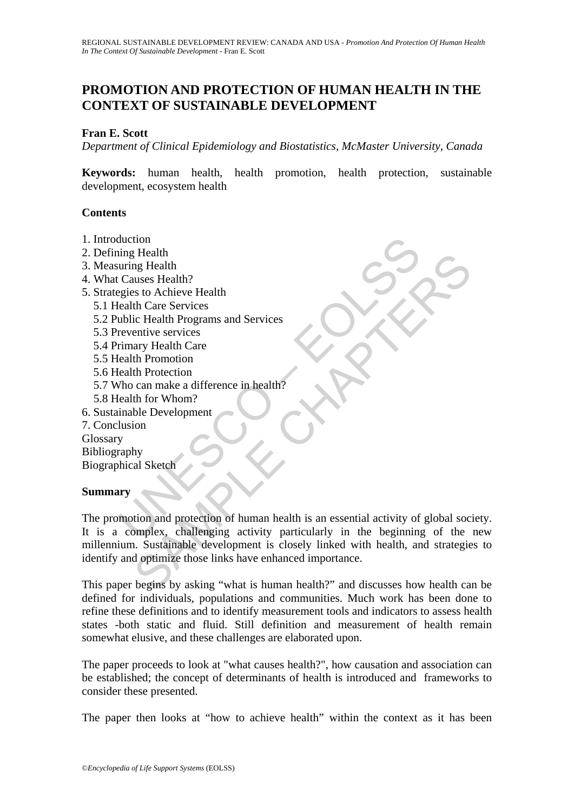# **PROMOTION AND PROTECTION OF HUMAN HEALTH IN THE CONTEXT OF SUSTAINABLE DEVELOPMENT**

## **Fran E. Scott**

*Department of Clinical Epidemiology and Biostatistics, McMaster University, Canada* 

**Keywords:** human health, health promotion, health protection, sustainable development, ecosystem health

### **Contents**

- 1. Introduction
- 2. Defining Health
- 3. Measuring Health
- 4. What Causes Health?
- 5. Strategies to Achieve Health
	- 5.1 Health Care Services
	- 5.2 Public Health Programs and Services
	- 5.3 Preventive services
	- 5.4 Primary Health Care
	- 5.5 Health Promotion
	- 5.6 Health Protection
	- 5.7 Who can make a difference in health?
	- 5.8 Health for Whom?
- 6. Sustainable Development
- 7. Conclusion

Glossary

Bibliography Biographical Sketch

### **Summary**

duction<br>
ing Health<br>
uring Health<br>
Causes Health?<br>
Causes Health?<br>
igis to Achieve Health<br>
lealth Care Services<br>
urbic Health Programs and Services<br>
remary Health Care<br>
elath Promotion<br>
lealth Protection<br>
(health for Whom? Freature<br>
Ing Health<br>
Ing Health<br>
In Care Services<br>
the Charlen Programs and Services<br>
entive services<br>
entive services<br>
entive services<br>
any Health Care<br>
the Pronotion<br>
the Protocoin<br>
the Protocoin<br>
In My<br>
by<br>
Sub Develop The promotion and protection of human health is an essential activity of global society. It is a complex, challenging activity particularly in the beginning of the new millennium. Sustainable development is closely linked with health, and strategies to identify and optimize those links have enhanced importance.

This paper begins by asking "what is human health?" and discusses how health can be defined for individuals, populations and communities. Much work has been done to refine these definitions and to identify measurement tools and indicators to assess health states -both static and fluid. Still definition and measurement of health remain somewhat elusive, and these challenges are elaborated upon.

The paper proceeds to look at "what causes health?", how causation and association can be established; the concept of determinants of health is introduced and frameworks to consider these presented.

The paper then looks at "how to achieve health" within the context as it has been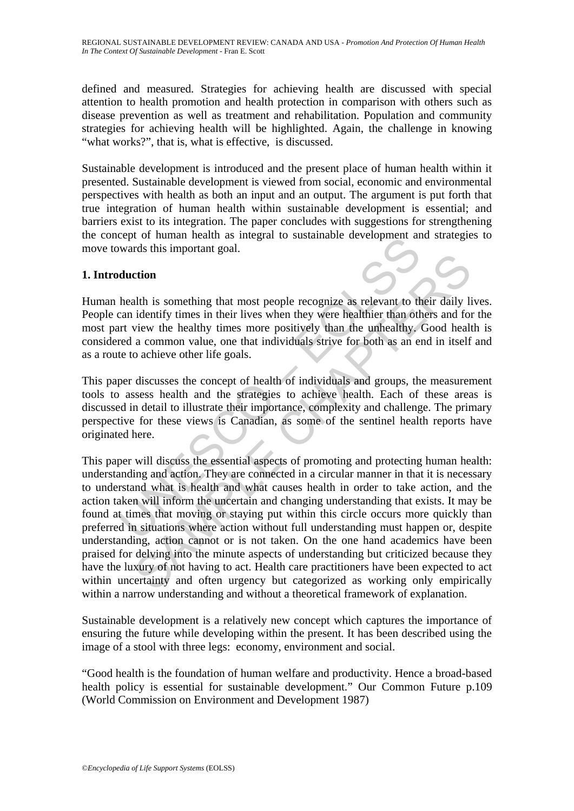defined and measured. Strategies for achieving health are discussed with special attention to health promotion and health protection in comparison with others such as disease prevention as well as treatment and rehabilitation. Population and community strategies for achieving health will be highlighted. Again, the challenge in knowing "what works?", that is, what is effective, is discussed.

Sustainable development is introduced and the present place of human health within it presented. Sustainable development is viewed from social, economic and environmental perspectives with health as both an input and an output. The argument is put forth that true integration of human health within sustainable development is essential; and barriers exist to its integration. The paper concludes with suggestions for strengthening the concept of human health as integral to sustainable development and strategies to move towards this important goal.

## **1. Introduction**

Human health is something that most people recognize as relevant to their daily lives. People can identify times in their lives when they were healthier than others and for the most part view the healthy times more positively than the unhealthy. Good health is considered a common value, one that individuals strive for both as an end in itself and as a route to achieve other life goals.

This paper discusses the concept of health of individuals and groups, the measurement tools to assess health and the strategies to achieve health. Each of these areas is discussed in detail to illustrate their importance, complexity and challenge. The primary perspective for these views is Canadian, as some of the sentinel health reports have originated here.

Evept of numian headur as integral to sustainable development and<br>wards this important goal.<br> **duction**<br>
health is something that most people recognize as relevant to the<br>
cara identify times in their lives when they were **Example 18 and the set of the set of the set of the set of the set of the set of the set of the set of the set of the set of the set of the set of the set of the set of the set of the set of a common value, one that indiv** This paper will discuss the essential aspects of promoting and protecting human health: understanding and action. They are connected in a circular manner in that it is necessary to understand what is health and what causes health in order to take action, and the action taken will inform the uncertain and changing understanding that exists. It may be found at times that moving or staying put within this circle occurs more quickly than preferred in situations where action without full understanding must happen or, despite understanding, action cannot or is not taken. On the one hand academics have been praised for delving into the minute aspects of understanding but criticized because they have the luxury of not having to act. Health care practitioners have been expected to act within uncertainty and often urgency but categorized as working only empirically within a narrow understanding and without a theoretical framework of explanation.

Sustainable development is a relatively new concept which captures the importance of ensuring the future while developing within the present. It has been described using the image of a stool with three legs: economy, environment and social.

"Good health is the foundation of human welfare and productivity. Hence a broad-based health policy is essential for sustainable development." Our Common Future p.109 (World Commission on Environment and Development 1987)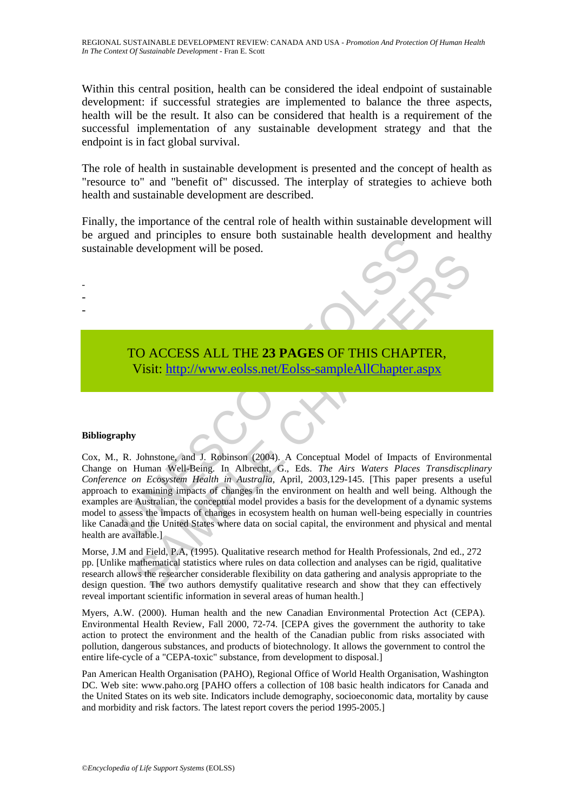Within this central position, health can be considered the ideal endpoint of sustainable development: if successful strategies are implemented to balance the three aspects, health will be the result. It also can be considered that health is a requirement of the successful implementation of any sustainable development strategy and that the endpoint is in fact global survival.

The role of health in sustainable development is presented and the concept of health as "resource to" and "benefit of" discussed. The interplay of strategies to achieve both health and sustainable development are described.

Finally, the importance of the central role of health within sustainable development will be argued and principles to ensure both sustainable health development and healthy sustainable development will be posed.

# TO ACCESS ALL THE **23 PAGES** OF THIS CHAPTER, Visit: http://www.eolss.net/Eolss-sampleAllChapter.aspx

### **Bibliography**

- - -

Example development will be posed.<br>
TO ACCESS ALL THE 23 PAGES OF THIS CHAPT<br>
Visit: http://www.eolss.net/Eolss-sampleAllChapter.a<br>
Wisit: http://www.eolss.net/Eolss-sampleAllChapter.a<br>
Wisit: http://www.eolss.net/Eolss-sa CO ACCESS ALL THE 23 PAGES OF THIS C[HAP](https://www.eolss.net/ebooklib/sc_cart.aspx?File=E1-50-05)TER,<br>
Visit: http://www.eolss.net/Eolss-sampleAllChapter.aspx<br>
Visit: http://www.eolss.net/Eolss-sampleAllChapter.aspx<br>
y<br>
Johnstone, and J. Robinson (2004). A Conceptual Model of Imp Cox, M., R. Johnstone, and J. Robinson (2004). A Conceptual Model of Impacts of Environmental Change on Human Well-Being. In Albrecht, G., Eds. *The Airs Waters Places Transdiscplinary Conference on Ecosystem Health in Australia,* April, 2003,129-145. [This paper presents a useful approach to examining impacts of changes in the environment on health and well being. Although the examples are Australian, the conceptual model provides a basis for the development of a dynamic systems model to assess the impacts of changes in ecosystem health on human well-being especially in countries like Canada and the United States where data on social capital, the environment and physical and mental health are available.]

Morse, J.M and Field, P.A, (1995). Qualitative research method for Health Professionals, 2nd ed., 272 pp. [Unlike mathematical statistics where rules on data collection and analyses can be rigid, qualitative research allows the researcher considerable flexibility on data gathering and analysis appropriate to the design question. The two authors demystify qualitative research and show that they can effectively reveal important scientific information in several areas of human health.]

Myers, A.W. (2000). Human health and the new Canadian Environmental Protection Act (CEPA). Environmental Health Review, Fall 2000, 72-74. [CEPA gives the government the authority to take action to protect the environment and the health of the Canadian public from risks associated with pollution, dangerous substances, and products of biotechnology. It allows the government to control the entire life-cycle of a "CEPA-toxic" substance, from development to disposal.]

Pan American Health Organisation (PAHO), Regional Office of World Health Organisation, Washington DC. Web site: www.paho.org [PAHO offers a collection of 108 basic health indicators for Canada and the United States on its web site. Indicators include demography, socioeconomic data, mortality by cause and morbidity and risk factors. The latest report covers the period 1995-2005.]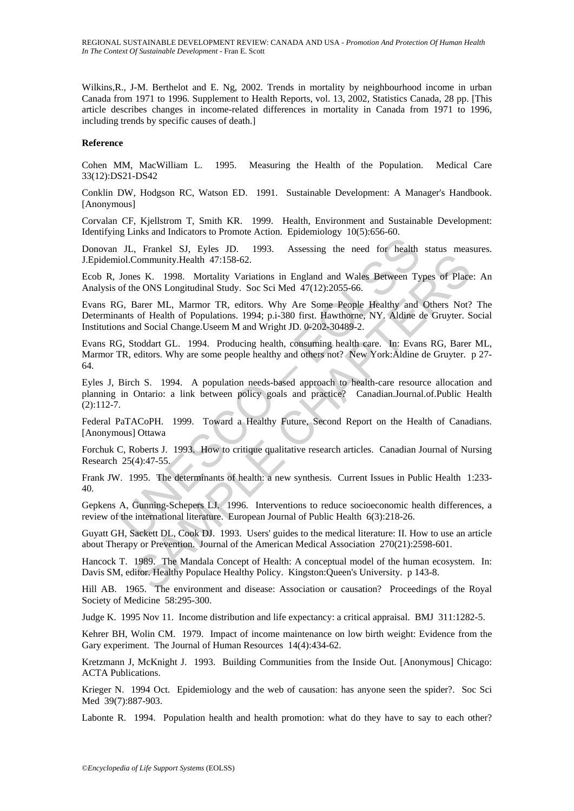Wilkins,R., J-M. Berthelot and E. Ng, 2002. Trends in mortality by neighbourhood income in urban Canada from 1971 to 1996. Supplement to Health Reports, vol. 13, 2002, Statistics Canada, 28 pp. [This article describes changes in income-related differences in mortality in Canada from 1971 to 1996, including trends by specific causes of death.]

#### **Reference**

Cohen MM, MacWilliam L. 1995. Measuring the Health of the Population. Medical Care 33(12):DS21-DS42

Conklin DW, Hodgson RC, Watson ED. 1991. Sustainable Development: A Manager's Handbook. [Anonymous]

Corvalan CF, Kjellstrom T, Smith KR. 1999. Health, Environment and Sustainable Development: Identifying Links and Indicators to Promote Action. Epidemiology 10(5):656-60.

Donovan JL, Frankel SJ, Eyles JD. 1993. Assessing the need for health status measures. J.Epidemiol.Community.Health 47:158-62.

Ecob R, Jones K. 1998. Mortality Variations in England and Wales Between Types of Place: An Analysis of the ONS Longitudinal Study. Soc Sci Med 47(12):2055-66.

Evans RG, Barer ML, Marmor TR, editors. Why Are Some People Healthy and Others Not? The Determinants of Health of Populations. 1994; p.i-380 first. Hawthorne, NY. Aldine de Gruyter. Social Institutions and Social Change.Useem M and Wright JD. 0-202-30489-2.

JL, Frankel SJ, Eyles JD. 1993. Assessing the need for health<br>
iol.Community.Health 47:158-62.<br>
Jones K. 1998. Mortality Variations in England and Wales Between Ty<br>
of the ONS Longitudinal Study. Soc Sci Med 47(12):2055-66 Community Health 47:158-62.<br>
SCOMMUNITY Variations in England and Wales Between Types of Place<br>
Ee ONS Longitudinal Study. Soc Sci Med 47(12):2055-66.<br>
SParen ML, Marmor TR, editors. Why Are Some People Healthy and Others Evans RG, Stoddart GL. 1994. Producing health, consuming health care. In: Evans RG, Barer ML, Marmor TR, editors. Why are some people healthy and others not? New York:Aldine de Gruyter. p 27- 64.

Eyles J, Birch S. 1994. A population needs-based approach to health-care resource allocation and planning in Ontario: a link between policy goals and practice? Canadian.Journal.of.Public Health (2):112-7.

Federal PaTACoPH. 1999. Toward a Healthy Future, Second Report on the Health of Canadians. [Anonymous] Ottawa

Forchuk C, Roberts J. 1993. How to critique qualitative research articles. Canadian Journal of Nursing Research 25(4):47-55.

Frank JW. 1995. The determinants of health: a new synthesis. Current Issues in Public Health 1:233- 40.

Gepkens A, Gunning-Schepers LJ. 1996. Interventions to reduce socioeconomic health differences, a review of the international literature. European Journal of Public Health 6(3):218-26.

Guyatt GH, Sackett DL, Cook DJ. 1993. Users' guides to the medical literature: II. How to use an article about Therapy or Prevention. Journal of the American Medical Association 270(21):2598-601.

Hancock T. 1989. The Mandala Concept of Health: A conceptual model of the human ecosystem. In: Davis SM, editor. Healthy Populace Healthy Policy. Kingston:Queen's University. p 143-8.

Hill AB. 1965. The environment and disease: Association or causation? Proceedings of the Royal Society of Medicine 58:295-300.

Judge K. 1995 Nov 11. Income distribution and life expectancy: a critical appraisal. BMJ 311:1282-5.

Kehrer BH, Wolin CM. 1979. Impact of income maintenance on low birth weight: Evidence from the Gary experiment. The Journal of Human Resources 14(4):434-62.

Kretzmann J, McKnight J. 1993. Building Communities from the Inside Out. [Anonymous] Chicago: ACTA Publications.

Krieger N. 1994 Oct. Epidemiology and the web of causation: has anyone seen the spider?. Soc Sci Med 39(7):887-903.

Labonte R. 1994. Population health and health promotion: what do they have to say to each other?